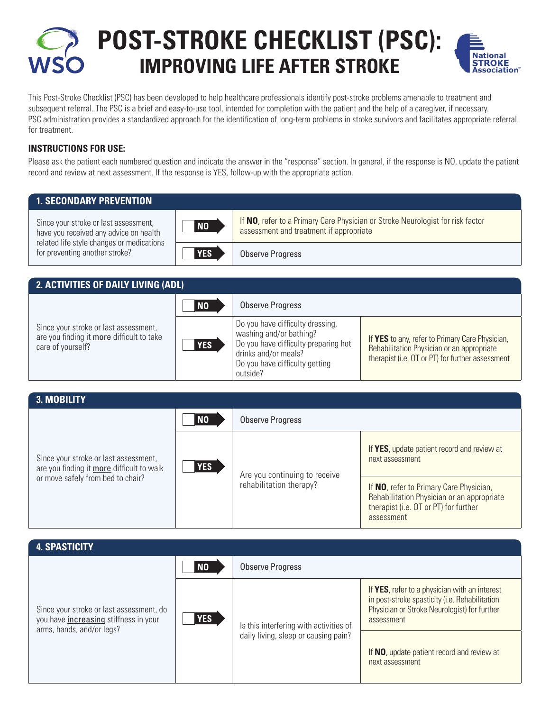**Post-Stroke Checklist (PSC): Improving Life After Stroke**



This Post-Stroke Checklist (PSC) has been developed to help healthcare professionals identify post-stroke problems amenable to treatment and subsequent referral. The PSC is a brief and easy-to-use tool, intended for completion with the patient and the help of a caregiver, if necessary. PSC administration provides a standardized approach for the identification of long-term problems in stroke survivors and facilitates appropriate referral for treatment.

## **Instructions for use:**

Please ask the patient each numbered question and indicate the answer in the "response" section. In general, if the response is NO, update the patient record and review at next assessment. If the response is YES, follow-up with the appropriate action.

| <b>1. SECONDARY PREVENTION</b>                                                                                                                                 |            |                                                                                                                           |
|----------------------------------------------------------------------------------------------------------------------------------------------------------------|------------|---------------------------------------------------------------------------------------------------------------------------|
| Since your stroke or last assessment,<br>have you received any advice on health<br>related life style changes or medications<br>for preventing another stroke? | <b>NO</b>  | If NO, refer to a Primary Care Physician or Stroke Neurologist for risk factor<br>assessment and treatment if appropriate |
|                                                                                                                                                                | <b>YES</b> | Observe Progress                                                                                                          |

| 2. ACTIVITIES OF DAILY LIVING (ADL)                                                                     |            |                                                                                                                                                                           |                                                                                                                                                   |
|---------------------------------------------------------------------------------------------------------|------------|---------------------------------------------------------------------------------------------------------------------------------------------------------------------------|---------------------------------------------------------------------------------------------------------------------------------------------------|
|                                                                                                         | <b>NO</b>  | Observe Progress                                                                                                                                                          |                                                                                                                                                   |
| Since your stroke or last assessment,<br>are you finding it more difficult to take<br>care of yourself? | <b>YES</b> | Do you have difficulty dressing,<br>washing and/or bathing?<br>Do you have difficulty preparing hot<br>drinks and/or meals?<br>Do you have difficulty getting<br>outside? | If YES to any, refer to Primary Care Physician,<br>Rehabilitation Physician or an appropriate<br>therapist (i.e. OT or PT) for further assessment |

| 3. MOBILITY                                                                                                             |                |                                                          |                                                                                                                                              |
|-------------------------------------------------------------------------------------------------------------------------|----------------|----------------------------------------------------------|----------------------------------------------------------------------------------------------------------------------------------------------|
| Since your stroke or last assessment,<br>are you finding it more difficult to walk<br>or move safely from bed to chair? | N <sub>0</sub> | Observe Progress                                         |                                                                                                                                              |
|                                                                                                                         | <b>YES</b>     | Are you continuing to receive<br>rehabilitation therapy? | If YES, update patient record and review at<br>next assessment                                                                               |
|                                                                                                                         |                |                                                          | If NO, refer to Primary Care Physician,<br>Rehabilitation Physician or an appropriate<br>therapist (i.e. OT or PT) for further<br>assessment |

| <b>4. SPASTICITY</b>                                                                                           |            |                                                                                |                                                                                                                                                               |
|----------------------------------------------------------------------------------------------------------------|------------|--------------------------------------------------------------------------------|---------------------------------------------------------------------------------------------------------------------------------------------------------------|
| Since your stroke or last assessment, do<br>you have increasing stiffness in your<br>arms, hands, and/or legs? | <b>NO</b>  | Observe Progress                                                               |                                                                                                                                                               |
|                                                                                                                | <b>YES</b> | Is this interfering with activities of<br>daily living, sleep or causing pain? | If YES, refer to a physician with an interest<br>in post-stroke spasticity (i.e. Rehabilitation<br>Physician or Stroke Neurologist) for further<br>assessment |
|                                                                                                                |            |                                                                                | If NO, update patient record and review at<br>next assessment                                                                                                 |